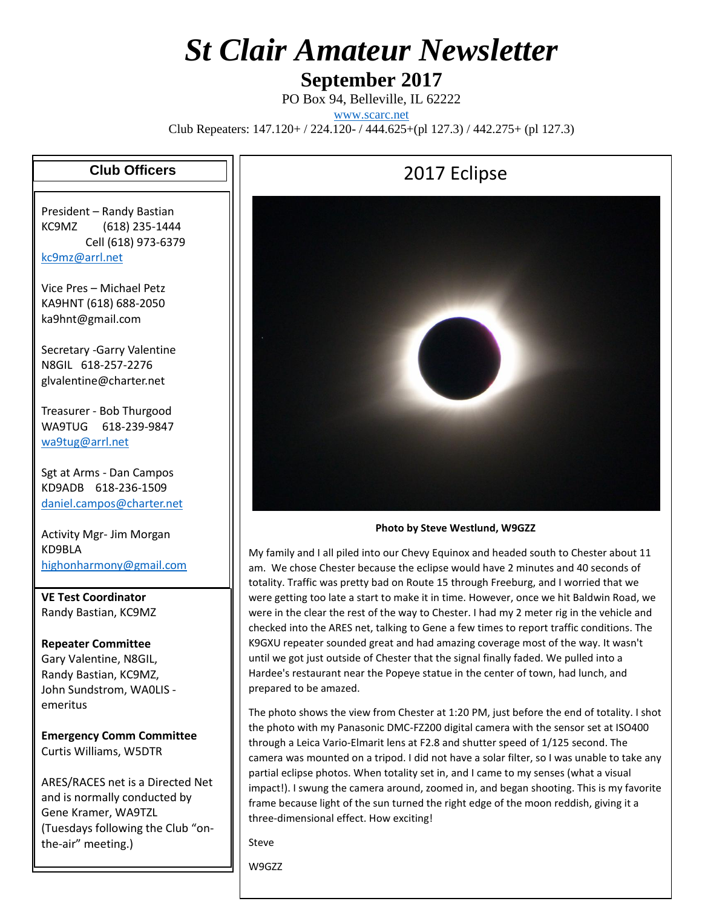# *St Clair Amateur Newsletter*

#### **September 2017**

PO Box 94, Belleville, IL 62222 [www.scarc.net](http://www.scarc.net/) Club Repeaters: 147.120+ / 224.120- / 444.625+(pl 127.3) / 442.275+ (pl 127.3)

#### **Club Officers**

President – Randy Bastian KC9MZ (618) 235-1444 Cell (618) 973-6379 [kc9mz@arrl.net](mailto:kc9mz@arrl.net)

Vice Pres – Michael Petz KA9HNT (618) 688-2050 ka9hnt@gmail.com

Secretary -Garry Valentine N8GIL 618-257-2276 glvalentine@charter.net

Treasurer - Bob Thurgood WA9TUG 618-239-9847 [wa9tug@arrl.net](mailto:wa9tug@arrl.net)

Sgt at Arms - Dan Campos KD9ADB 618-236-1509 [daniel.campos@charter.net](mailto:daniel.campos@charter.net)

Activity Mgr- Jim Morgan KD9BLA [highonharmony@gmail.com](mailto:highonharmony@gmail.com)

**VE Test Coordinator** Randy Bastian, KC9MZ

**Repeater Committee** Gary Valentine, N8GIL, Randy Bastian, KC9MZ, John Sundstrom, WA0LIS emeritus

**Emergency Comm Committee** Curtis Williams, W5DTR

ARES/RACES net is a Directed Net and is normally conducted by Gene Kramer, WA9TZL (Tuesdays following the Club "onthe-air" meeting.)

### 2017 Eclipse



**Photo by Steve Westlund, W9GZZ**

My family and I all piled into our Chevy Equinox and headed south to Chester about 11 am. We chose Chester because the eclipse would have 2 minutes and 40 seconds of totality. Traffic was pretty bad on Route 15 through Freeburg, and I worried that we were getting too late a start to make it in time. However, once we hit Baldwin Road, we were in the clear the rest of the way to Chester. I had my 2 meter rig in the vehicle and checked into the ARES net, talking to Gene a few times to report traffic conditions. The K9GXU repeater sounded great and had amazing coverage most of the way. It wasn't until we got just outside of Chester that the signal finally faded. We pulled into a Hardee's restaurant near the Popeye statue in the center of town, had lunch, and prepared to be amazed.

The photo shows the view from Chester at 1:20 PM, just before the end of totality. I shot the photo with my Panasonic DMC-FZ200 digital camera with the sensor set at ISO400 through a Leica Vario-Elmarit lens at F2.8 and shutter speed of 1/125 second. The camera was mounted on a tripod. I did not have a solar filter, so I was unable to take any partial eclipse photos. When totality set in, and I came to my senses (what a visual impact!). I swung the camera around, zoomed in, and began shooting. This is my favorite frame because light of the sun turned the right edge of the moon reddish, giving it a three-dimensional effect. How exciting!

Steve

W9GZZ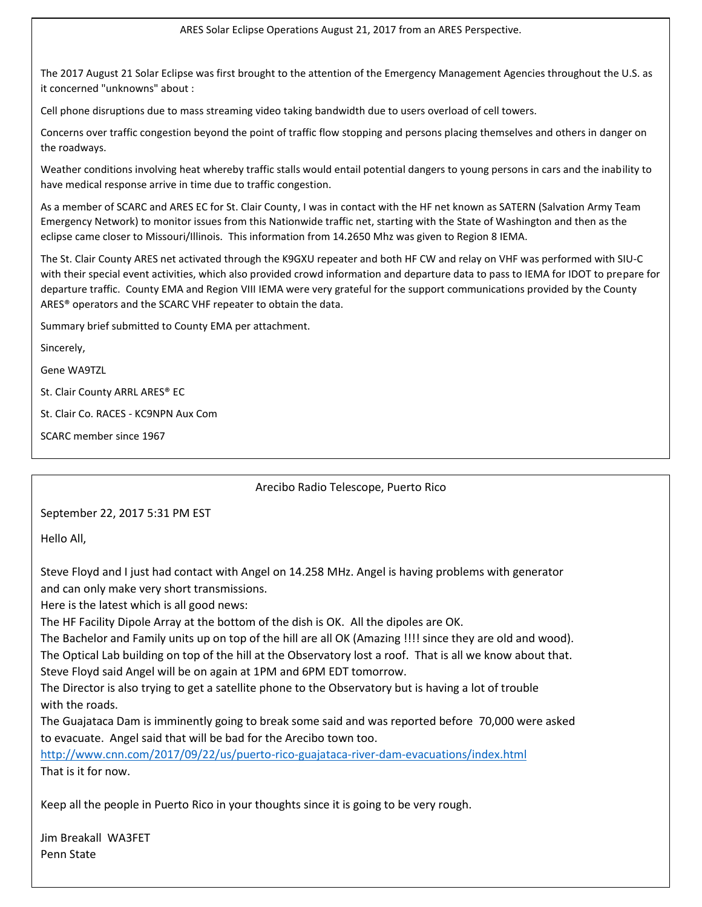ARES Solar Eclipse Operations August 21, 2017 from an ARES Perspective.

The 2017 August 21 Solar Eclipse was first brought to the attention of the Emergency Management Agencies throughout the U.S. as it concerned "unknowns" about :

Cell phone disruptions due to mass streaming video taking bandwidth due to users overload of cell towers.

Concerns over traffic congestion beyond the point of traffic flow stopping and persons placing themselves and others in danger on the roadways.

Weather conditions involving heat whereby traffic stalls would entail potential dangers to young persons in cars and the inability to have medical response arrive in time due to traffic congestion.

As a member of SCARC and ARES EC for St. Clair County, I was in contact with the HF net known as SATERN (Salvation Army Team Emergency Network) to monitor issues from this Nationwide traffic net, starting with the State of Washington and then as the eclipse came closer to Missouri/Illinois. This information from 14.2650 Mhz was given to Region 8 IEMA.

The St. Clair County ARES net activated through the K9GXU repeater and both HF CW and relay on VHF was performed with SIU-C with their special event activities, which also provided crowd information and departure data to pass to IEMA for IDOT to prepare for departure traffic. County EMA and Region VIII IEMA were very grateful for the support communications provided by the County ARES® operators and the SCARC VHF repeater to obtain the data.

Summary brief submitted to County EMA per attachment.

Sincerely,

Gene WA9TZL

St. Clair County ARRL ARES® EC

St. Clair Co. RACES - KC9NPN Aux Com

SCARC member since 1967

#### Arecibo Radio Telescope, Puerto Rico

September 22, 2017 5:31 PM EST

Hello All,

Steve Floyd and I just had contact with Angel on 14.258 MHz. Angel is having problems with generator and can only make very short transmissions.

Here is the latest which is all good news:

The HF Facility Dipole Array at the bottom of the dish is OK. All the dipoles are OK.

The Bachelor and Family units up on top of the hill are all OK (Amazing !!!! since they are old and wood).

The Optical Lab building on top of the hill at the Observatory lost a roof. That is all we know about that. Steve Floyd said Angel will be on again at 1PM and 6PM EDT tomorrow.

The Director is also trying to get a satellite phone to the Observatory but is having a lot of trouble with the roads.

The Guajataca Dam is imminently going to break some said and was reported before 70,000 were asked to evacuate. Angel said that will be bad for the Arecibo town too.

<http://www.cnn.com/2017/09/22/us/puerto-rico-guajataca-river-dam-evacuations/index.html> That is it for now.

Keep all the people in Puerto Rico in your thoughts since it is going to be very rough.

Jim Breakall WA3FET Penn State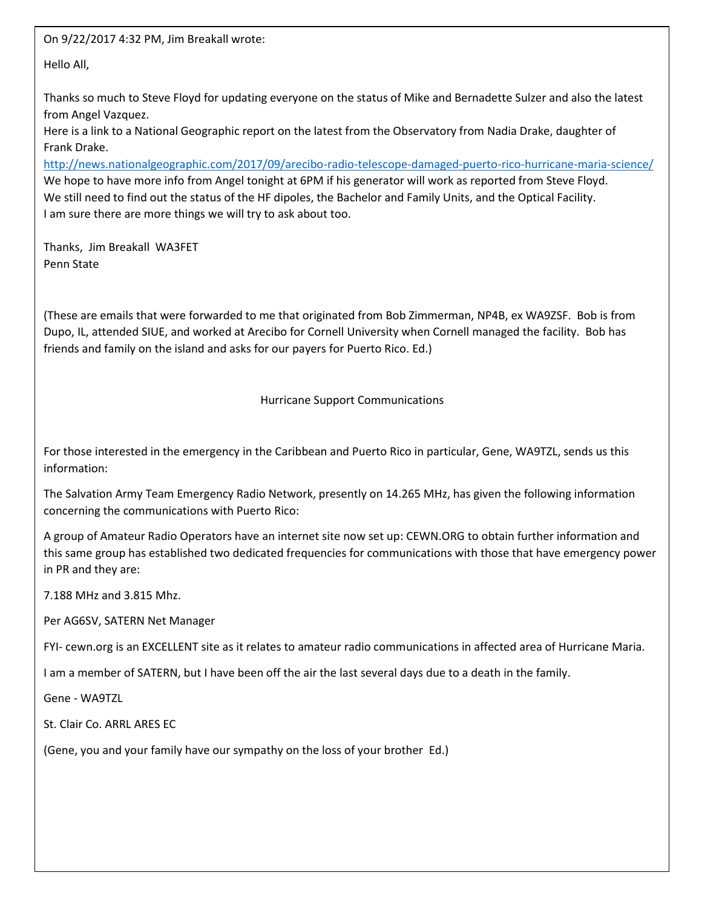On 9/22/2017 4:32 PM, Jim Breakall wrote:

Hello All,

Thanks so much to Steve Floyd for updating everyone on the status of Mike and Bernadette Sulzer and also the latest from Angel Vazquez.

Here is a link to a National Geographic report on the latest from the Observatory from Nadia Drake, daughter of Frank Drake.

<http://news.nationalgeographic.com/2017/09/arecibo-radio-telescope-damaged-puerto-rico-hurricane-maria-science/> We hope to have more info from Angel tonight at 6PM if his generator will work as reported from Steve Floyd. We still need to find out the status of the HF dipoles, the Bachelor and Family Units, and the Optical Facility. I am sure there are more things we will try to ask about too.

Thanks, Jim Breakall WA3FET Penn State

(These are emails that were forwarded to me that originated from Bob Zimmerman, NP4B, ex WA9ZSF. Bob is from Dupo, IL, attended SIUE, and worked at Arecibo for Cornell University when Cornell managed the facility. Bob has friends and family on the island and asks for our payers for Puerto Rico. Ed.)

Hurricane Support Communications

For those interested in the emergency in the Caribbean and Puerto Rico in particular, Gene, WA9TZL, sends us this information:

The Salvation Army Team Emergency Radio Network, presently on 14.265 MHz, has given the following information concerning the communications with Puerto Rico:

A group of Amateur Radio Operators have an internet site now set up: CEWN.ORG to obtain further information and this same group has established two dedicated frequencies for communications with those that have emergency power in PR and they are:

7.188 MHz and 3.815 Mhz.

Per AG6SV, SATERN Net Manager

FYI- cewn.org is an EXCELLENT site as it relates to amateur radio communications in affected area of Hurricane Maria.

I am a member of SATERN, but I have been off the air the last several days due to a death in the family.

Gene - WA9TZL

St. Clair Co. ARRL ARES EC

(Gene, you and your family have our sympathy on the loss of your brother Ed.)